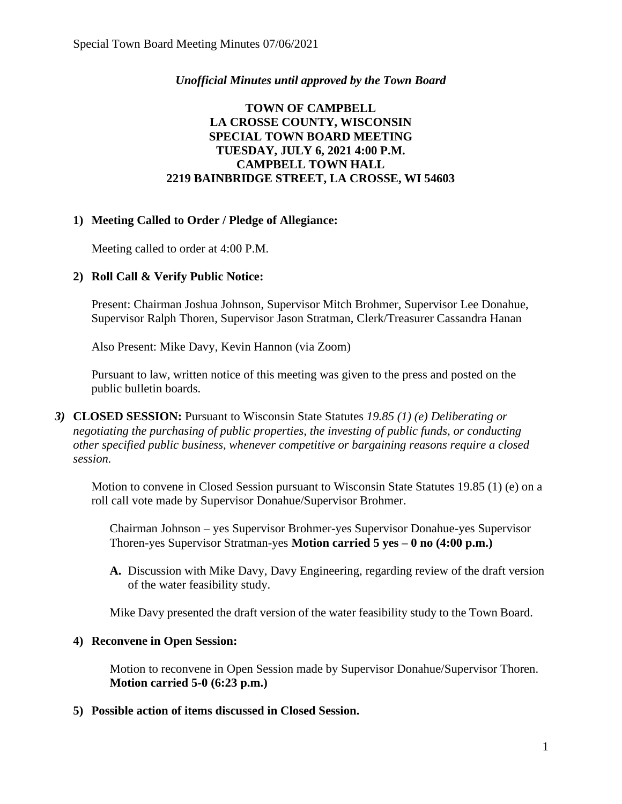## *Unofficial Minutes until approved by the Town Board*

## **TOWN OF CAMPBELL LA CROSSE COUNTY, WISCONSIN SPECIAL TOWN BOARD MEETING TUESDAY, JULY 6, 2021 4:00 P.M. CAMPBELL TOWN HALL 2219 BAINBRIDGE STREET, LA CROSSE, WI 54603**

## **1) Meeting Called to Order / Pledge of Allegiance:**

Meeting called to order at 4:00 P.M.

## **2) Roll Call & Verify Public Notice:**

Present: Chairman Joshua Johnson, Supervisor Mitch Brohmer, Supervisor Lee Donahue, Supervisor Ralph Thoren, Supervisor Jason Stratman, Clerk/Treasurer Cassandra Hanan

Also Present: Mike Davy, Kevin Hannon (via Zoom)

Pursuant to law, written notice of this meeting was given to the press and posted on the public bulletin boards.

*3)* **CLOSED SESSION:** Pursuant to Wisconsin State Statutes *19.85 (1) (e) Deliberating or negotiating the purchasing of public properties, the investing of public funds, or conducting other specified public business, whenever competitive or bargaining reasons require a closed session.*

Motion to convene in Closed Session pursuant to Wisconsin State Statutes 19.85 (1) (e) on a roll call vote made by Supervisor Donahue/Supervisor Brohmer.

Chairman Johnson – yes Supervisor Brohmer-yes Supervisor Donahue-yes Supervisor Thoren-yes Supervisor Stratman-yes **Motion carried 5 yes – 0 no (4:00 p.m.)**

**A.** Discussion with Mike Davy, Davy Engineering, regarding review of the draft version of the water feasibility study.

Mike Davy presented the draft version of the water feasibility study to the Town Board.

#### **4) Reconvene in Open Session:**

Motion to reconvene in Open Session made by Supervisor Donahue/Supervisor Thoren. **Motion carried 5-0 (6:23 p.m.)**

#### **5) Possible action of items discussed in Closed Session.**